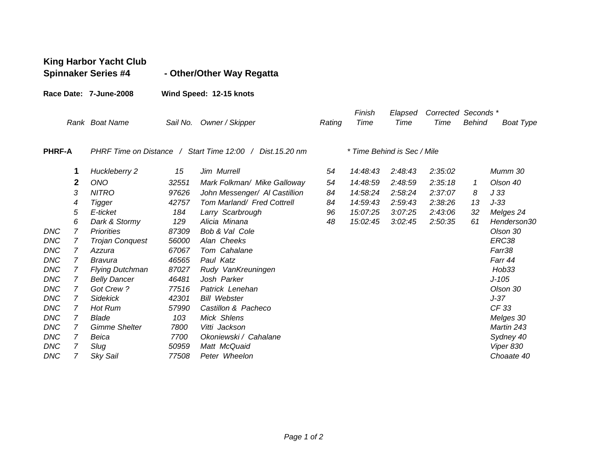|               |                | <b>King Harbor Yacht Club</b><br><b>Spinnaker Series #4</b> |                         | - Other/Other Way Regatta     |        |                |                 |                             |               |                  |
|---------------|----------------|-------------------------------------------------------------|-------------------------|-------------------------------|--------|----------------|-----------------|-----------------------------|---------------|------------------|
|               |                | Race Date: 7-June-2008                                      | Wind Speed: 12-15 knots |                               |        |                |                 |                             |               |                  |
|               |                | Rank Boat Name                                              | Sail No.                | Owner / Skipper               | Rating | Finish<br>Time | Elapsed<br>Time | Corrected Seconds *<br>Time | <b>Behind</b> | <b>Boat Type</b> |
| <b>PHRF-A</b> |                | PHRF Time on Distance / Start Time 12:00 / Dist. 15.20 nm   |                         | * Time Behind is Sec / Mile   |        |                |                 |                             |               |                  |
|               | 1              | Huckleberry 2                                               | 15                      | Jim Murrell                   | 54     | 14:48:43       | 2:48:43         | 2:35:02                     |               | Mumm 30          |
|               | 2              | <b>ONO</b>                                                  | 32551                   | Mark Folkman/ Mike Galloway   | 54     | 14:48:59       | 2:48:59         | 2:35:18                     | 1             | Olson 40         |
|               | 3              | <b>NITRO</b>                                                | 97626                   | John Messenger/ Al Castillion | 84     | 14:58:24       | 2:58:24         | 2:37:07                     | 8             | J33              |
|               | 4              | Tigger                                                      | 42757                   | Tom Marland/ Fred Cottrell    | 84     | 14:59:43       | 2:59:43         | 2:38:26                     | 13            | $J-33$           |
|               | 5              | E-ticket                                                    | 184                     | Larry Scarbrough              | 96     | 15:07:25       | 3:07:25         | 2:43:06                     | -32           | Melges 24        |
|               | 6              | Dark & Stormy                                               | 129                     | Alicia Minana                 | 48     | 15:02:45       | 3:02:45         | 2:50:35                     | 61            | Henderson30      |
| <b>DNC</b>    | $\overline{7}$ | <b>Priorities</b>                                           | 87309                   | Bob & Val Cole                |        |                |                 |                             |               | Olson 30         |
| <b>DNC</b>    | 7              | <b>Trojan Conquest</b>                                      | 56000                   | Alan Cheeks                   |        |                |                 |                             |               | ERC38            |
| <b>DNC</b>    | 7              | Azzura                                                      | 67067                   | Tom Cahalane                  |        |                |                 |                             |               | Farr38           |
| <b>DNC</b>    | 7              | Bravura                                                     | 46565                   | Paul Katz                     |        |                |                 |                             |               | Farr 44          |
| <b>DNC</b>    | 7              | <b>Flying Dutchman</b>                                      | 87027                   | Rudy VanKreuningen            |        |                |                 |                             |               | Hob33            |
| <b>DNC</b>    | 7              | <b>Belly Dancer</b>                                         | 46481                   | Josh Parker                   |        |                |                 |                             |               | $J - 105$        |
| <b>DNC</b>    | $\overline{7}$ | Got Crew?                                                   | 77516                   | Patrick Lenehan               |        |                |                 |                             |               | Olson 30         |
| <b>DNC</b>    | 7              | <b>Sidekick</b>                                             | 42301                   | <b>Bill Webster</b>           |        |                |                 |                             |               | $J-37$           |
| <b>DNC</b>    | 7              | Hot Rum                                                     | 57990                   | Castillon & Pacheco           |        |                |                 |                             |               | CF 33            |
| <b>DNC</b>    | 7              | <b>Blade</b>                                                | 103                     | Mick Shlens                   |        |                |                 |                             |               | Melges 30        |
| <b>DNC</b>    | 7              | <b>Gimme Shelter</b>                                        | 7800                    | Vitti Jackson                 |        |                |                 |                             |               | Martin 243       |
| <b>DNC</b>    | $\overline{7}$ | Beica                                                       | 7700                    | Okoniewski / Cahalane         |        |                |                 |                             |               | Sydney 40        |
| <b>DNC</b>    | 7              | Slug                                                        | 50959                   | Matt McQuaid                  |        |                |                 |                             |               | Viper 830        |
| <b>DNC</b>    | $\overline{7}$ | Sky Sail                                                    | 77508                   | Peter Wheelon                 |        |                |                 |                             |               | Choaate 40       |